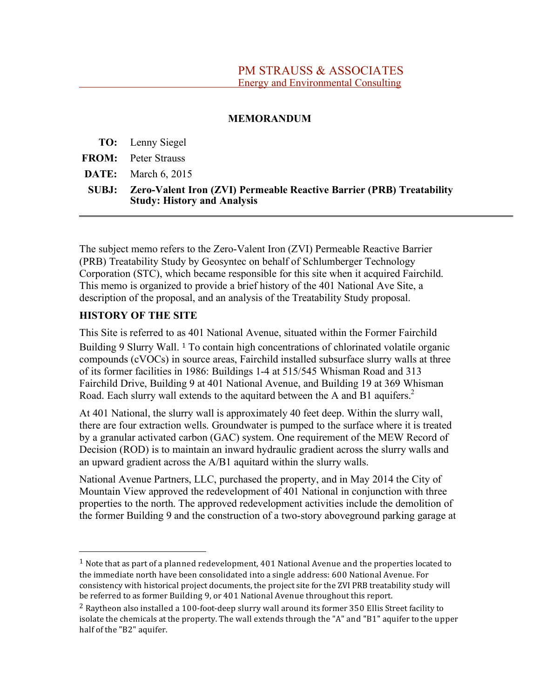#### **MEMORANDUM**

**TO:** Lenny Siegel

**FROM:** Peter Strauss

**DATE:** March 6, 2015

**SUBJ: Zero-Valent Iron (ZVI) Permeable Reactive Barrier (PRB) Treatability Study: History and Analysis**

The subject memo refers to the Zero-Valent Iron (ZVI) Permeable Reactive Barrier (PRB) Treatability Study by Geosyntec on behalf of Schlumberger Technology Corporation (STC), which became responsible for this site when it acquired Fairchild. This memo is organized to provide a brief history of the 401 National Ave Site, a description of the proposal, and an analysis of the Treatability Study proposal.

### **HISTORY OF THE SITE**

This Site is referred to as 401 National Avenue, situated within the Former Fairchild Building 9 Slurry Wall. <sup>1</sup> To contain high concentrations of chlorinated volatile organic compounds (cVOCs) in source areas, Fairchild installed subsurface slurry walls at three of its former facilities in 1986: Buildings 1-4 at 515/545 Whisman Road and 313 Fairchild Drive, Building 9 at 401 National Avenue, and Building 19 at 369 Whisman Road. Each slurry wall extends to the aquitard between the A and B1 aquifers. 2

At 401 National, the slurry wall is approximately 40 feet deep. Within the slurry wall, there are four extraction wells. Groundwater is pumped to the surface where it is treated by a granular activated carbon (GAC) system. One requirement of the MEW Record of Decision (ROD) is to maintain an inward hydraulic gradient across the slurry walls and an upward gradient across the A/B1 aquitard within the slurry walls.

National Avenue Partners, LLC, purchased the property, and in May 2014 the City of Mountain View approved the redevelopment of 401 National in conjunction with three properties to the north. The approved redevelopment activities include the demolition of the former Building 9 and the construction of a two-story aboveground parking garage at

<sup>&</sup>lt;sup>1</sup> Note that as part of a planned redevelopment, 401 National Avenue and the properties located to the
immediate
north have
been
consolidated into
a
single
address: 600 National
Avenue.
For consistency
with historical project
documents, the
project site
for the
ZVI
PRB
treatability study will be
referred
to
as
former
Building 9,
or
401 National
Avenue
throughout this
report.

<sup>&</sup>lt;sup>2</sup> Raytheon also installed a 100-foot-deep slurry wall around its former 350 Ellis Street facility to isolate the chemicals at the property. The wall extends through the "A" and "B1" aquifer to the upper half
of the
"B2" aquifer.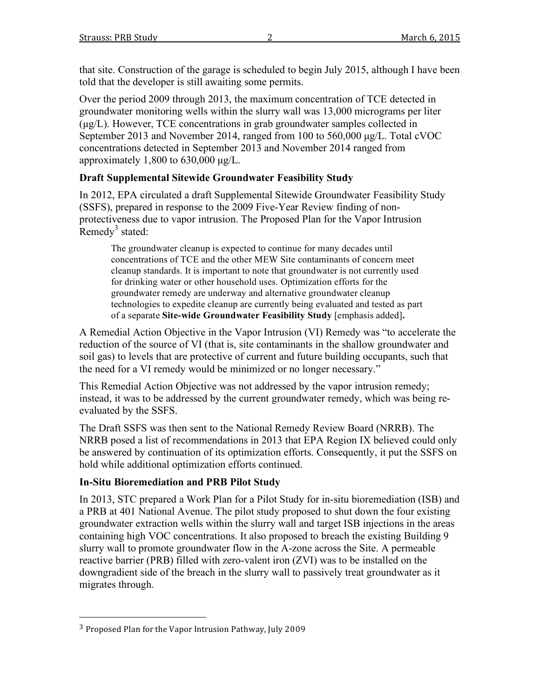that site. Construction of the garage is scheduled to begin July 2015, although I have been told that the developer is still awaiting some permits.

Over the period 2009 through 2013, the maximum concentration of TCE detected in groundwater monitoring wells within the slurry wall was 13,000 micrograms per liter (µg/L). However, TCE concentrations in grab groundwater samples collected in September 2013 and November 2014, ranged from 100 to 560,000  $\mu$ g/L. Total cVOC concentrations detected in September 2013 and November 2014 ranged from approximately  $1,800$  to  $630,000 \mu$ g/L.

## **Draft Supplemental Sitewide Groundwater Feasibility Study**

In 2012, EPA circulated a draft Supplemental Sitewide Groundwater Feasibility Study (SSFS), prepared in response to the 2009 Five-Year Review finding of nonprotectiveness due to vapor intrusion. The Proposed Plan for the Vapor Intrusion Remedy<sup>3</sup> stated:

The groundwater cleanup is expected to continue for many decades until concentrations of TCE and the other MEW Site contaminants of concern meet cleanup standards. It is important to note that groundwater is not currently used for drinking water or other household uses. Optimization efforts for the groundwater remedy are underway and alternative groundwater cleanup technologies to expedite cleanup are currently being evaluated and tested as part of a separate **Site-wide Groundwater Feasibility Study** [emphasis added]**.**

A Remedial Action Objective in the Vapor Intrusion (VI) Remedy was "to accelerate the reduction of the source of VI (that is, site contaminants in the shallow groundwater and soil gas) to levels that are protective of current and future building occupants, such that the need for a VI remedy would be minimized or no longer necessary."

This Remedial Action Objective was not addressed by the vapor intrusion remedy; instead, it was to be addressed by the current groundwater remedy, which was being reevaluated by the SSFS.

The Draft SSFS was then sent to the National Remedy Review Board (NRRB). The NRRB posed a list of recommendations in 2013 that EPA Region IX believed could only be answered by continuation of its optimization efforts. Consequently, it put the SSFS on hold while additional optimization efforts continued.

## **In-Situ Bioremediation and PRB Pilot Study**

In 2013, STC prepared a Work Plan for a Pilot Study for in-situ bioremediation (ISB) and a PRB at 401 National Avenue. The pilot study proposed to shut down the four existing groundwater extraction wells within the slurry wall and target ISB injections in the areas containing high VOC concentrations. It also proposed to breach the existing Building 9 slurry wall to promote groundwater flow in the A-zone across the Site. A permeable reactive barrier (PRB) filled with zero-valent iron (ZVI) was to be installed on the downgradient side of the breach in the slurry wall to passively treat groundwater as it migrates through.

<sup>3</sup> Proposed Plan
for the
Vapor
Intrusion Pathway,
July 2009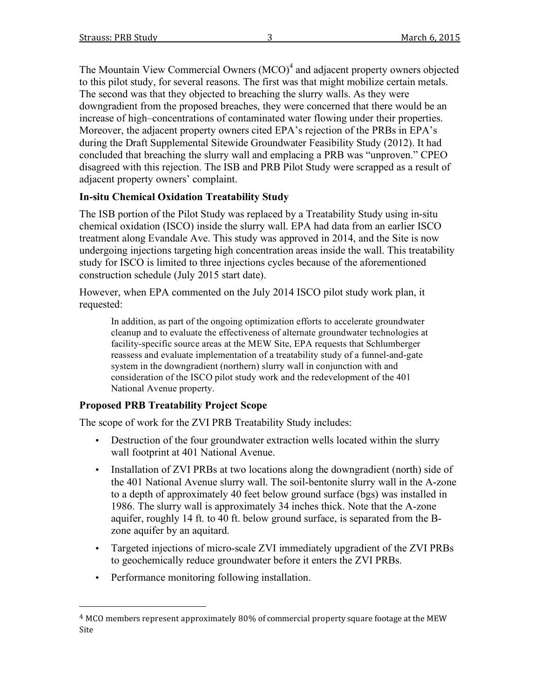The Mountain View Commercial Owners (MCO)<sup>4</sup> and adjacent property owners objected to this pilot study, for several reasons. The first was that might mobilize certain metals. The second was that they objected to breaching the slurry walls. As they were downgradient from the proposed breaches, they were concerned that there would be an increase of high–concentrations of contaminated water flowing under their properties. Moreover, the adjacent property owners cited EPA's rejection of the PRBs in EPA's during the Draft Supplemental Sitewide Groundwater Feasibility Study (2012). It had concluded that breaching the slurry wall and emplacing a PRB was "unproven." CPEO disagreed with this rejection. The ISB and PRB Pilot Study were scrapped as a result of adjacent property owners' complaint.

## **In-situ Chemical Oxidation Treatability Study**

The ISB portion of the Pilot Study was replaced by a Treatability Study using in-situ chemical oxidation (ISCO) inside the slurry wall. EPA had data from an earlier ISCO treatment along Evandale Ave. This study was approved in 2014, and the Site is now undergoing injections targeting high concentration areas inside the wall. This treatability study for ISCO is limited to three injections cycles because of the aforementioned construction schedule (July 2015 start date).

However, when EPA commented on the July 2014 ISCO pilot study work plan, it requested:

In addition, as part of the ongoing optimization efforts to accelerate groundwater cleanup and to evaluate the effectiveness of alternate groundwater technologies at facility-specific source areas at the MEW Site, EPA requests that Schlumberger reassess and evaluate implementation of a treatability study of a funnel-and-gate system in the downgradient (northern) slurry wall in conjunction with and consideration of the ISCO pilot study work and the redevelopment of the 401 National Avenue property.

## **Proposed PRB Treatability Project Scope**

The scope of work for the ZVI PRB Treatability Study includes:

- Destruction of the four groundwater extraction wells located within the slurry wall footprint at 401 National Avenue.
- Installation of ZVI PRBs at two locations along the downgradient (north) side of the 401 National Avenue slurry wall. The soil-bentonite slurry wall in the A-zone to a depth of approximately 40 feet below ground surface (bgs) was installed in 1986. The slurry wall is approximately 34 inches thick. Note that the A-zone aquifer, roughly 14 ft. to 40 ft. below ground surface, is separated from the Bzone aquifer by an aquitard.
- Targeted injections of micro-scale ZVI immediately upgradient of the ZVI PRBs to geochemically reduce groundwater before it enters the ZVI PRBs.
- Performance monitoring following installation.

<sup>4</sup> MCO
members represent
approximately 80%
of commercial property square
footage
at the
MEW Site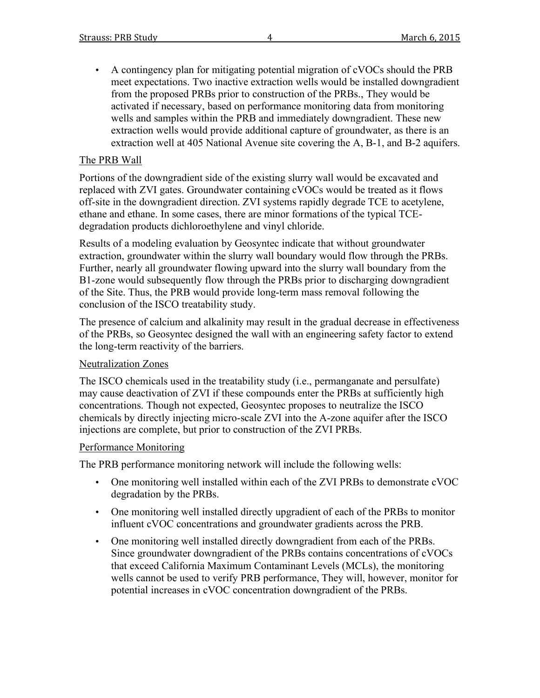• A contingency plan for mitigating potential migration of cVOCs should the PRB meet expectations. Two inactive extraction wells would be installed downgradient from the proposed PRBs prior to construction of the PRBs., They would be activated if necessary, based on performance monitoring data from monitoring wells and samples within the PRB and immediately downgradient. These new extraction wells would provide additional capture of groundwater, as there is an extraction well at 405 National Avenue site covering the A, B-1, and B-2 aquifers.

#### The PRB Wall

Portions of the downgradient side of the existing slurry wall would be excavated and replaced with ZVI gates. Groundwater containing cVOCs would be treated as it flows off-site in the downgradient direction. ZVI systems rapidly degrade TCE to acetylene, ethane and ethane. In some cases, there are minor formations of the typical TCEdegradation products dichloroethylene and vinyl chloride.

Results of a modeling evaluation by Geosyntec indicate that without groundwater extraction, groundwater within the slurry wall boundary would flow through the PRBs. Further, nearly all groundwater flowing upward into the slurry wall boundary from the B1-zone would subsequently flow through the PRBs prior to discharging downgradient of the Site. Thus, the PRB would provide long-term mass removal following the conclusion of the ISCO treatability study.

The presence of calcium and alkalinity may result in the gradual decrease in effectiveness of the PRBs, so Geosyntec designed the wall with an engineering safety factor to extend the long-term reactivity of the barriers.

#### Neutralization Zones

The ISCO chemicals used in the treatability study (i.e., permanganate and persulfate) may cause deactivation of ZVI if these compounds enter the PRBs at sufficiently high concentrations. Though not expected, Geosyntec proposes to neutralize the ISCO chemicals by directly injecting micro-scale ZVI into the A-zone aquifer after the ISCO injections are complete, but prior to construction of the ZVI PRBs.

#### Performance Monitoring

The PRB performance monitoring network will include the following wells:

- One monitoring well installed within each of the ZVI PRBs to demonstrate cVOC degradation by the PRBs.
- One monitoring well installed directly upgradient of each of the PRBs to monitor influent cVOC concentrations and groundwater gradients across the PRB.
- One monitoring well installed directly downgradient from each of the PRBs. Since groundwater downgradient of the PRBs contains concentrations of cVOCs that exceed California Maximum Contaminant Levels (MCLs), the monitoring wells cannot be used to verify PRB performance, They will, however, monitor for potential increases in cVOC concentration downgradient of the PRBs.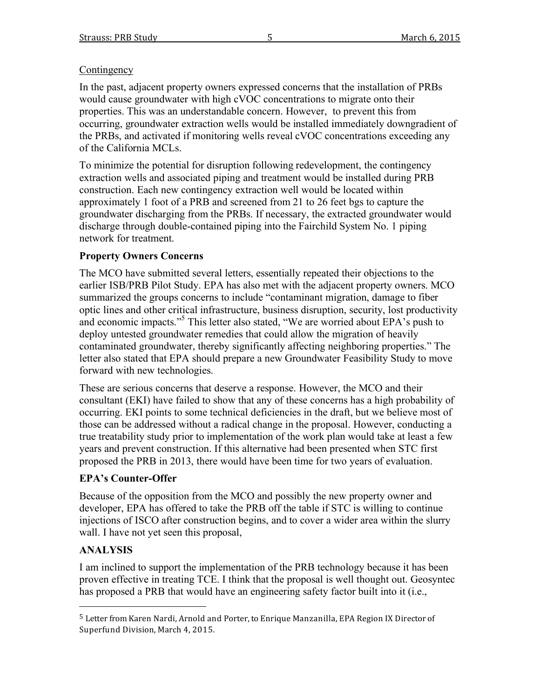### **Contingency**

In the past, adjacent property owners expressed concerns that the installation of PRBs would cause groundwater with high cVOC concentrations to migrate onto their properties. This was an understandable concern. However, to prevent this from occurring, groundwater extraction wells would be installed immediately downgradient of the PRBs, and activated if monitoring wells reveal cVOC concentrations exceeding any of the California MCLs.

To minimize the potential for disruption following redevelopment, the contingency extraction wells and associated piping and treatment would be installed during PRB construction. Each new contingency extraction well would be located within approximately 1 foot of a PRB and screened from 21 to 26 feet bgs to capture the groundwater discharging from the PRBs. If necessary, the extracted groundwater would discharge through double-contained piping into the Fairchild System No. 1 piping network for treatment.

## **Property Owners Concerns**

The MCO have submitted several letters, essentially repeated their objections to the earlier ISB/PRB Pilot Study. EPA has also met with the adjacent property owners. MCO summarized the groups concerns to include "contaminant migration, damage to fiber optic lines and other critical infrastructure, business disruption, security, lost productivity and economic impacts." <sup>5</sup> This letter also stated, "We are worried about EPA's push to deploy untested groundwater remedies that could allow the migration of heavily contaminated groundwater, thereby significantly affecting neighboring properties." The letter also stated that EPA should prepare a new Groundwater Feasibility Study to move forward with new technologies.

These are serious concerns that deserve a response. However, the MCO and their consultant (EKI) have failed to show that any of these concerns has a high probability of occurring. EKI points to some technical deficiencies in the draft, but we believe most of those can be addressed without a radical change in the proposal. However, conducting a true treatability study prior to implementation of the work plan would take at least a few years and prevent construction. If this alternative had been presented when STC first proposed the PRB in 2013, there would have been time for two years of evaluation.

## **EPA's Counter-Offer**

Because of the opposition from the MCO and possibly the new property owner and developer, EPA has offered to take the PRB off the table if STC is willing to continue injections of ISCO after construction begins, and to cover a wider area within the slurry wall. I have not yet seen this proposal,

# **ANALYSIS**

I am inclined to support the implementation of the PRB technology because it has been proven effective in treating TCE. I think that the proposal is well thought out. Geosyntec has proposed a PRB that would have an engineering safety factor built into it (i.e.,

<sup>&</sup>lt;sup>5</sup> Letter from Karen Nardi, Arnold and Porter, to Enrique Manzanilla, EPA Region IX Director of Superfund Division,
March 4, 2015.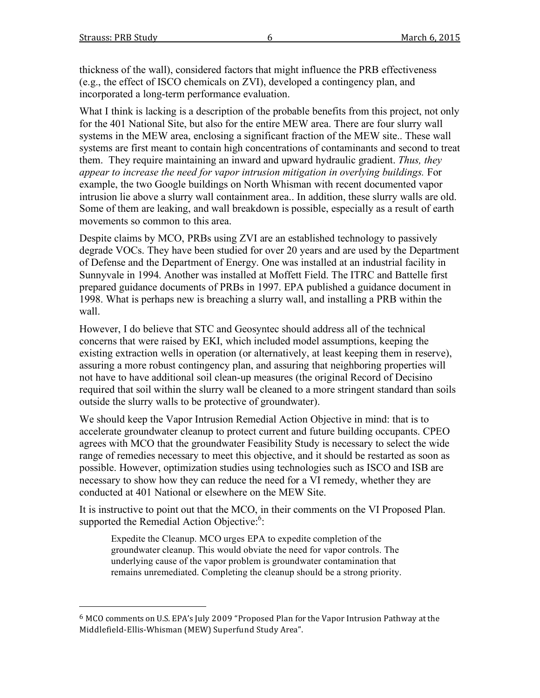thickness of the wall), considered factors that might influence the PRB effectiveness (e.g., the effect of ISCO chemicals on ZVI), developed a contingency plan, and incorporated a long-term performance evaluation.

What I think is lacking is a description of the probable benefits from this project, not only for the 401 National Site, but also for the entire MEW area. There are four slurry wall systems in the MEW area, enclosing a significant fraction of the MEW site.. These wall systems are first meant to contain high concentrations of contaminants and second to treat them. They require maintaining an inward and upward hydraulic gradient. *Thus, they appear to increase the need for vapor intrusion mitigation in overlying buildings.* For example, the two Google buildings on North Whisman with recent documented vapor intrusion lie above a slurry wall containment area.. In addition, these slurry walls are old. Some of them are leaking, and wall breakdown is possible, especially as a result of earth movements so common to this area.

Despite claims by MCO, PRBs using ZVI are an established technology to passively degrade VOCs. They have been studied for over 20 years and are used by the Department of Defense and the Department of Energy. One was installed at an industrial facility in Sunnyvale in 1994. Another was installed at Moffett Field. The ITRC and Battelle first prepared guidance documents of PRBs in 1997. EPA published a guidance document in 1998. What is perhaps new is breaching a slurry wall, and installing a PRB within the wall.

However, I do believe that STC and Geosyntec should address all of the technical concerns that were raised by EKI, which included model assumptions, keeping the existing extraction wells in operation (or alternatively, at least keeping them in reserve), assuring a more robust contingency plan, and assuring that neighboring properties will not have to have additional soil clean-up measures (the original Record of Decisino required that soil within the slurry wall be cleaned to a more stringent standard than soils outside the slurry walls to be protective of groundwater).

We should keep the Vapor Intrusion Remedial Action Objective in mind: that is to accelerate groundwater cleanup to protect current and future building occupants. CPEO agrees with MCO that the groundwater Feasibility Study is necessary to select the wide range of remedies necessary to meet this objective, and it should be restarted as soon as possible. However, optimization studies using technologies such as ISCO and ISB are necessary to show how they can reduce the need for a VI remedy, whether they are conducted at 401 National or elsewhere on the MEW Site.

It is instructive to point out that the MCO, in their comments on the VI Proposed Plan. supported the Remedial Action Objective:<sup>6</sup>:

Expedite the Cleanup. MCO urges EPA to expedite completion of the groundwater cleanup. This would obviate the need for vapor controls. The underlying cause of the vapor problem is groundwater contamination that remains unremediated. Completing the cleanup should be a strong priority.

<sup>6</sup> MCO
comments on U.S.
EPA's July 2009 "Proposed Plan
for the
Vapor
Intrusion Pathway at the Middlefield‐Ellis‐Whisman
(MEW)
Superfund Study
Area".